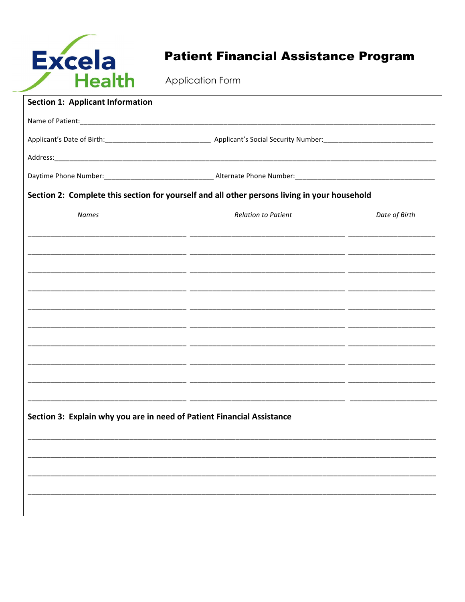

## **Patient Financial Assistance Program**

| <b>Section 1: Applicant Information</b>                                                      |                            |               |  |  |
|----------------------------------------------------------------------------------------------|----------------------------|---------------|--|--|
|                                                                                              |                            |               |  |  |
|                                                                                              |                            |               |  |  |
|                                                                                              |                            |               |  |  |
|                                                                                              |                            |               |  |  |
| Section 2: Complete this section for yourself and all other persons living in your household |                            |               |  |  |
| <b>Names</b>                                                                                 | <b>Relation to Patient</b> | Date of Birth |  |  |
|                                                                                              |                            |               |  |  |
|                                                                                              |                            |               |  |  |
|                                                                                              |                            |               |  |  |
|                                                                                              |                            |               |  |  |
|                                                                                              |                            |               |  |  |
|                                                                                              |                            |               |  |  |
|                                                                                              |                            |               |  |  |
|                                                                                              |                            |               |  |  |
|                                                                                              |                            |               |  |  |
|                                                                                              |                            |               |  |  |
|                                                                                              |                            |               |  |  |
| Section 3: Explain why you are in need of Patient Financial Assistance                       |                            |               |  |  |
|                                                                                              |                            |               |  |  |
|                                                                                              |                            |               |  |  |
|                                                                                              |                            |               |  |  |
|                                                                                              |                            |               |  |  |
|                                                                                              |                            |               |  |  |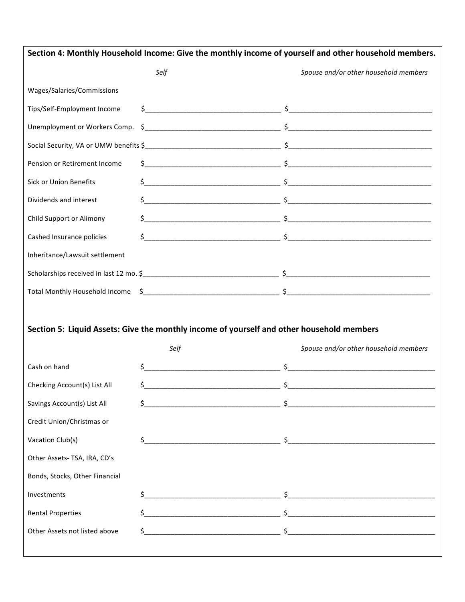| Section 4: Monthly Household Income: Give the monthly income of yourself and other household members. |                                                                                                   |                                                                                                                                                                                                                                          |  |
|-------------------------------------------------------------------------------------------------------|---------------------------------------------------------------------------------------------------|------------------------------------------------------------------------------------------------------------------------------------------------------------------------------------------------------------------------------------------|--|
|                                                                                                       | Self                                                                                              | Spouse and/or other household members                                                                                                                                                                                                    |  |
| Wages/Salaries/Commissions                                                                            |                                                                                                   |                                                                                                                                                                                                                                          |  |
| Tips/Self-Employment Income                                                                           |                                                                                                   | $\frac{\zeta}{\zeta}$ , and the set of the set of the set of the set of the set of the set of the set of the set of the set of the set of the set of the set of the set of the set of the set of the set of the set of the set of the    |  |
| Unemployment or Workers Comp.                                                                         |                                                                                                   | $\frac{1}{2}$                                                                                                                                                                                                                            |  |
|                                                                                                       |                                                                                                   |                                                                                                                                                                                                                                          |  |
| Pension or Retirement Income                                                                          |                                                                                                   |                                                                                                                                                                                                                                          |  |
| <b>Sick or Union Benefits</b>                                                                         |                                                                                                   |                                                                                                                                                                                                                                          |  |
| Dividends and interest                                                                                |                                                                                                   |                                                                                                                                                                                                                                          |  |
| Child Support or Alimony                                                                              |                                                                                                   | $\frac{1}{2}$                                                                                                                                                                                                                            |  |
| Cashed Insurance policies                                                                             |                                                                                                   | $\frac{\zeta}{\zeta}$ , and the set of the set of the set of the set of $\zeta$ , and the set of the set of the set of the set of the set of the set of the set of the set of the set of the set of the set of the set of the set of the |  |
| Inheritance/Lawsuit settlement                                                                        |                                                                                                   |                                                                                                                                                                                                                                          |  |
|                                                                                                       |                                                                                                   |                                                                                                                                                                                                                                          |  |
|                                                                                                       |                                                                                                   |                                                                                                                                                                                                                                          |  |
|                                                                                                       | Section 5: Liquid Assets: Give the monthly income of yourself and other household members<br>Self | Spouse and/or other household members                                                                                                                                                                                                    |  |
| Cash on hand                                                                                          | $\zeta_{-}$                                                                                       |                                                                                                                                                                                                                                          |  |
| Checking Account(s) List All                                                                          | Ŝ.                                                                                                | Ŝ.                                                                                                                                                                                                                                       |  |
| Savings Account(s) List All                                                                           | \$.                                                                                               | $\frac{1}{2}$                                                                                                                                                                                                                            |  |
| Credit Union/Christmas or                                                                             |                                                                                                   |                                                                                                                                                                                                                                          |  |
| Vacation Club(s)                                                                                      | \$                                                                                                |                                                                                                                                                                                                                                          |  |
| Other Assets- TSA, IRA, CD's                                                                          |                                                                                                   |                                                                                                                                                                                                                                          |  |
| Bonds, Stocks, Other Financial                                                                        |                                                                                                   |                                                                                                                                                                                                                                          |  |
| Investments                                                                                           | \$                                                                                                |                                                                                                                                                                                                                                          |  |
| <b>Rental Properties</b>                                                                              |                                                                                                   |                                                                                                                                                                                                                                          |  |
| Other Assets not listed above                                                                         |                                                                                                   |                                                                                                                                                                                                                                          |  |
|                                                                                                       |                                                                                                   |                                                                                                                                                                                                                                          |  |